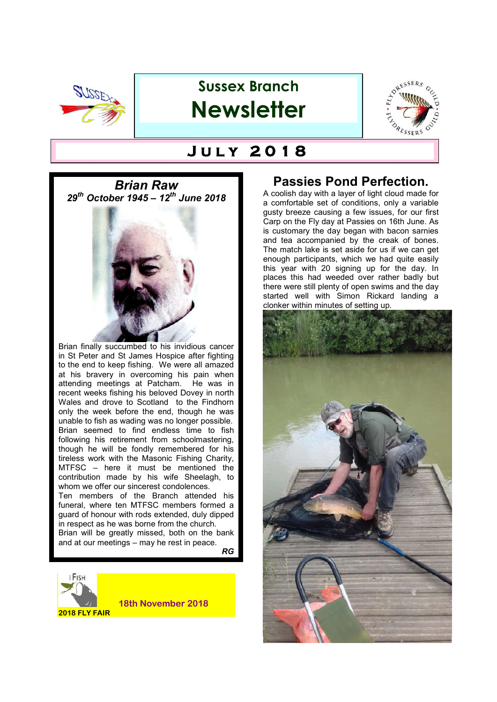

## **Sussex Branch Newsletter**



# $J$  ULY 2018

*Brian Raw 29th October 1945 – 12th June 2018* 



in respect as he was borne from the church. Brian will be greatly missed, both on the bank and at our meetings – may he rest in peace.

*RG*



### **Passies Pond Perfection.**

A coolish day with a layer of light cloud made for a comfortable set of conditions, only a variable gusty breeze causing a few issues, for our first Carp on the Fly day at Passies on 16th June. As is customary the day began with bacon sarnies and tea accompanied by the creak of bones. The match lake is set aside for us if we can get enough participants, which we had quite easily this year with 20 signing up for the day. In places this had weeded over rather badly but there were still plenty of open swims and the day started well with Simon Rickard landing a clonker within minutes of setting up.

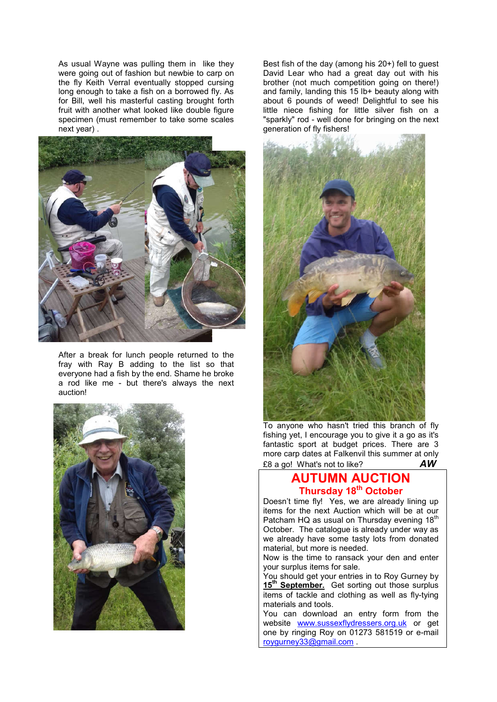As usual Wayne was pulling them in like they were going out of fashion but newbie to carp on the fly Keith Verral eventually stopped cursing long enough to take a fish on a borrowed fly. As for Bill, well his masterful casting brought forth fruit with another what looked like double figure specimen (must remember to take some scales next year) .



After a break for lunch people returned to the fray with Ray B adding to the list so that everyone had a fish by the end. Shame he broke a rod like me - but there's always the next auction!



Best fish of the day (among his 20+) fell to guest David Lear who had a great day out with his brother (not much competition going on there!) and family, landing this 15 lb+ beauty along with about 6 pounds of weed! Delightful to see his little niece fishing for little silver fish on a "sparkly" rod - well done for bringing on the next generation of fly fishers!



To anyone who hasn't tried this branch of fly fishing yet, I encourage you to give it a go as it's fantastic sport at budget prices. There are 3 more carp dates at Falkenvil this summer at only  $£8$  a go! What's not to like?  $\overline{AW}$ £8 a go! What's not to like?

#### **AUTUMN AUCTION Thursday 18th October**

Doesn't time fly! Yes, we are already lining up items for the next Auction which will be at our Patcham HQ as usual on Thursday evening 18<sup>th</sup> October. The catalogue is already under way as we already have some tasty lots from donated material, but more is needed.

Now is the time to ransack your den and enter your surplus items for sale.

You should get your entries in to Roy Gurney by 15<sup>th</sup> September. Get sorting out those surplus items of tackle and clothing as well as fly-tying materials and tools.

You can download an entry form from the website www.sussexflydressers.org.uk or get one by ringing Roy on 01273 581519 or e-mail roygurney33@gmail.com .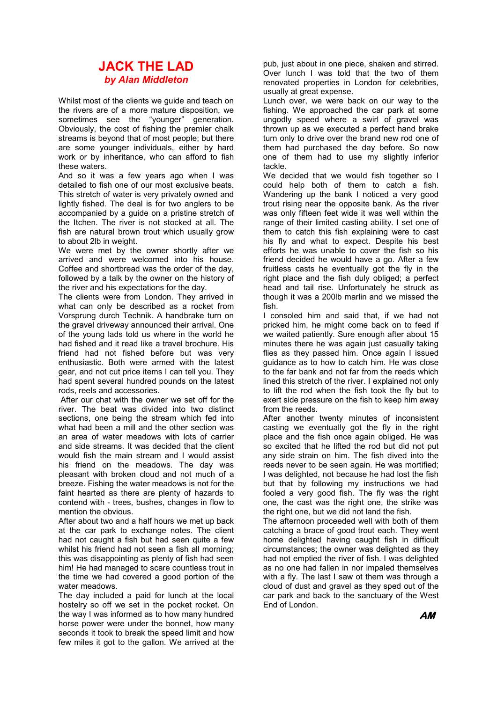#### **JACK THE LAD** *by Alan Middleton*

Whilst most of the clients we guide and teach on the rivers are of a more mature disposition, we sometimes see the "younger" generation. Obviously, the cost of fishing the premier chalk streams is beyond that of most people; but there are some younger individuals, either by hard work or by inheritance, who can afford to fish these waters.

And so it was a few years ago when I was detailed to fish one of our most exclusive beats. This stretch of water is very privately owned and lightly fished. The deal is for two anglers to be accompanied by a guide on a pristine stretch of the Itchen. The river is not stocked at all. The fish are natural brown trout which usually grow to about 2lb in weight.

We were met by the owner shortly after we arrived and were welcomed into his house. Coffee and shortbread was the order of the day, followed by a talk by the owner on the history of the river and his expectations for the day.

The clients were from London. They arrived in what can only be described as a rocket from Vorsprung durch Technik. A handbrake turn on the gravel driveway announced their arrival. One of the young lads told us where in the world he had fished and it read like a travel brochure. His friend had not fished before but was very enthusiastic. Both were armed with the latest gear, and not cut price items I can tell you. They had spent several hundred pounds on the latest rods, reels and accessories.

 After our chat with the owner we set off for the river. The beat was divided into two distinct sections, one being the stream which fed into what had been a mill and the other section was an area of water meadows with lots of carrier and side streams. It was decided that the client would fish the main stream and I would assist his friend on the meadows. The day was pleasant with broken cloud and not much of a breeze. Fishing the water meadows is not for the faint hearted as there are plenty of hazards to contend with - trees, bushes, changes in flow to mention the obvious.

After about two and a half hours we met up back at the car park to exchange notes. The client had not caught a fish but had seen quite a few whilst his friend had not seen a fish all morning; this was disappointing as plenty of fish had seen him! He had managed to scare countless trout in the time we had covered a good portion of the water meadows.

The day included a paid for lunch at the local hostelry so off we set in the pocket rocket. On the way I was informed as to how many hundred horse power were under the bonnet, how many seconds it took to break the speed limit and how few miles it got to the gallon. We arrived at the pub, just about in one piece, shaken and stirred. Over lunch I was told that the two of them renovated properties in London for celebrities, usually at great expense.

Lunch over, we were back on our way to the fishing. We approached the car park at some ungodly speed where a swirl of gravel was thrown up as we executed a perfect hand brake turn only to drive over the brand new rod one of them had purchased the day before. So now one of them had to use my slightly inferior tackle.

We decided that we would fish together so I could help both of them to catch a fish. Wandering up the bank I noticed a very good trout rising near the opposite bank. As the river was only fifteen feet wide it was well within the range of their limited casting ability. I set one of them to catch this fish explaining were to cast his fly and what to expect. Despite his best efforts he was unable to cover the fish so his friend decided he would have a go. After a few fruitless casts he eventually got the fly in the right place and the fish duly obliged; a perfect head and tail rise. Unfortunately he struck as though it was a 200lb marlin and we missed the fish.

I consoled him and said that, if we had not pricked him, he might come back on to feed if we waited patiently. Sure enough after about 15 minutes there he was again just casually taking flies as they passed him. Once again I issued guidance as to how to catch him. He was close to the far bank and not far from the reeds which lined this stretch of the river. I explained not only to lift the rod when the fish took the fly but to exert side pressure on the fish to keep him away from the reeds.

After another twenty minutes of inconsistent casting we eventually got the fly in the right place and the fish once again obliged. He was so excited that he lifted the rod but did not put any side strain on him. The fish dived into the reeds never to be seen again. He was mortified; I was delighted, not because he had lost the fish but that by following my instructions we had fooled a very good fish. The fly was the right one, the cast was the right one, the strike was the right one, but we did not land the fish.

The afternoon proceeded well with both of them catching a brace of good trout each. They went home delighted having caught fish in difficult circumstances; the owner was delighted as they had not emptied the river of fish. I was delighted as no one had fallen in nor impaled themselves with a fly. The last I saw ot them was through a cloud of dust and gravel as they sped out of the car park and back to the sanctuary of the West End of London.

**AM**